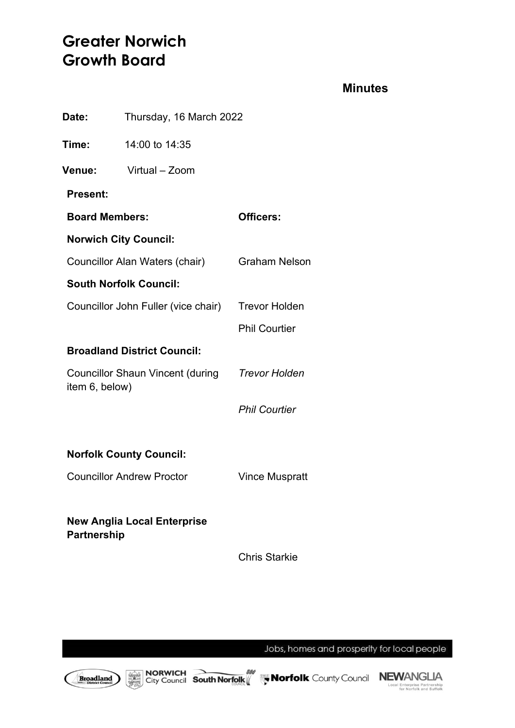# **Greater Norwich Growth Board**

## **Minutes**

| Date:                                                     | Thursday, 16 March 2022             |                       |  |
|-----------------------------------------------------------|-------------------------------------|-----------------------|--|
| Time:                                                     | 14:00 to 14:35                      |                       |  |
| Venue:                                                    | Virtual - Zoom                      |                       |  |
| <b>Present:</b>                                           |                                     |                       |  |
| <b>Board Members:</b>                                     |                                     | <b>Officers:</b>      |  |
| <b>Norwich City Council:</b>                              |                                     |                       |  |
| Councillor Alan Waters (chair)                            |                                     | <b>Graham Nelson</b>  |  |
| <b>South Norfolk Council:</b>                             |                                     |                       |  |
|                                                           | Councillor John Fuller (vice chair) | <b>Trevor Holden</b>  |  |
|                                                           |                                     | <b>Phil Courtier</b>  |  |
| <b>Broadland District Council:</b>                        |                                     |                       |  |
| <b>Councillor Shaun Vincent (during</b><br>item 6, below) |                                     | <b>Trevor Holden</b>  |  |
|                                                           |                                     | <b>Phil Courtier</b>  |  |
|                                                           |                                     |                       |  |
| <b>Norfolk County Council:</b>                            |                                     |                       |  |
|                                                           | <b>Councillor Andrew Proctor</b>    | <b>Vince Muspratt</b> |  |
| <b>New Anglia Local Enterprise</b><br><b>Partnership</b>  |                                     |                       |  |

Chris Starkie



Jobs, homes and prosperity for local people

Local Enterprise Partnership<br>for Norfolk and Suffolk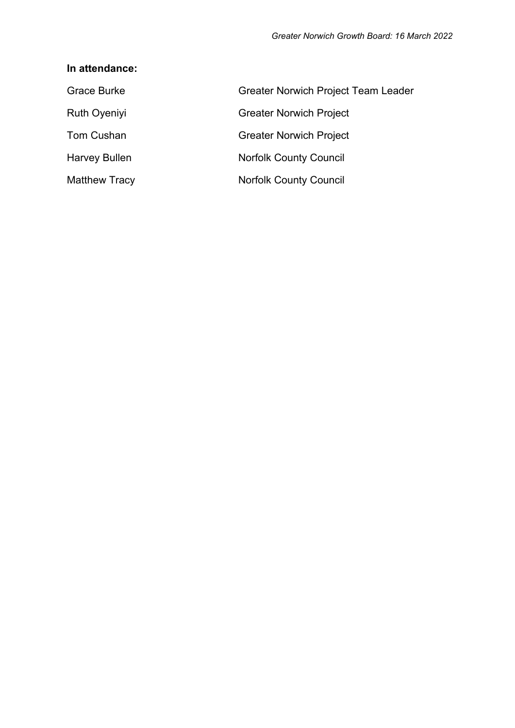## **In attendance:**

| <b>Grace Burke</b>   | <b>Greater Norwich Project Team Leader</b> |
|----------------------|--------------------------------------------|
| <b>Ruth Oyeniyi</b>  | <b>Greater Norwich Project</b>             |
| Tom Cushan           | <b>Greater Norwich Project</b>             |
| Harvey Bullen        | <b>Norfolk County Council</b>              |
| <b>Matthew Tracy</b> | <b>Norfolk County Council</b>              |
|                      |                                            |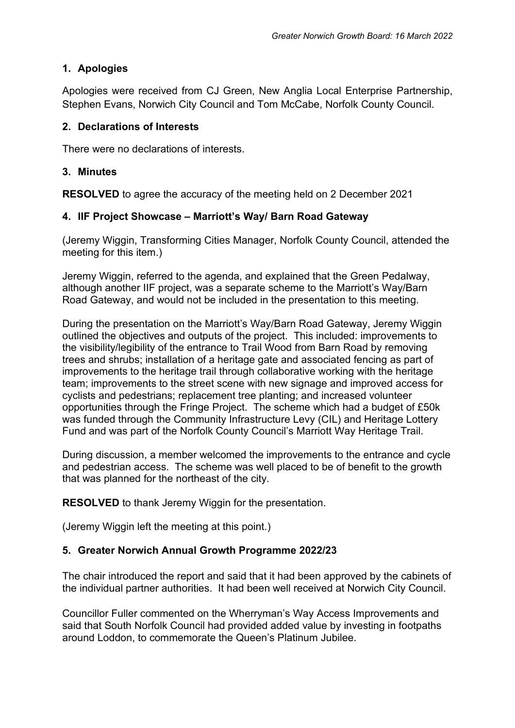# **1. Apologies**

Apologies were received from CJ Green, New Anglia Local Enterprise Partnership, Stephen Evans, Norwich City Council and Tom McCabe, Norfolk County Council.

## **2. Declarations of Interests**

There were no declarations of interests.

## **3. Minutes**

**RESOLVED** to agree the accuracy of the meeting held on 2 December 2021

## **4. IIF Project Showcase – Marriott's Way/ Barn Road Gateway**

(Jeremy Wiggin, Transforming Cities Manager, Norfolk County Council, attended the meeting for this item.)

Jeremy Wiggin, referred to the agenda, and explained that the Green Pedalway, although another IIF project, was a separate scheme to the Marriott's Way/Barn Road Gateway, and would not be included in the presentation to this meeting.

During the presentation on the Marriott's Way/Barn Road Gateway, Jeremy Wiggin outlined the objectives and outputs of the project. This included: improvements to the visibility/legibility of the entrance to Trail Wood from Barn Road by removing trees and shrubs; installation of a heritage gate and associated fencing as part of improvements to the heritage trail through collaborative working with the heritage team; improvements to the street scene with new signage and improved access for cyclists and pedestrians; replacement tree planting; and increased volunteer opportunities through the Fringe Project. The scheme which had a budget of £50k was funded through the Community Infrastructure Levy (CIL) and Heritage Lottery Fund and was part of the Norfolk County Council's Marriott Way Heritage Trail.

During discussion, a member welcomed the improvements to the entrance and cycle and pedestrian access. The scheme was well placed to be of benefit to the growth that was planned for the northeast of the city.

**RESOLVED** to thank Jeremy Wiggin for the presentation.

(Jeremy Wiggin left the meeting at this point.)

# **5. Greater Norwich Annual Growth Programme 2022/23**

The chair introduced the report and said that it had been approved by the cabinets of the individual partner authorities. It had been well received at Norwich City Council.

Councillor Fuller commented on the Wherryman's Way Access Improvements and said that South Norfolk Council had provided added value by investing in footpaths around Loddon, to commemorate the Queen's Platinum Jubilee.